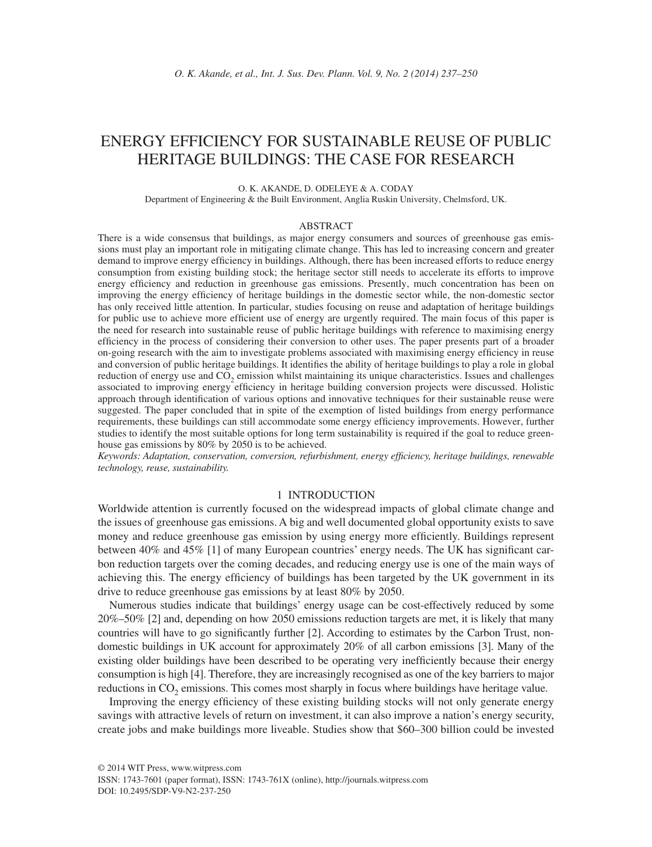# ENERGY EFFICIENCY FOR SUSTAINABLE REUSE OF PUBLIC HERITAGE BUILDINGS: THE CASE FOR RESEARCH

#### O. K. AKANDE, D. ODELEYE & A. CODAY

Department of Engineering & the Built Environment, Anglia Ruskin University, Chelmsford, UK.

#### ABSTRACT

There is a wide consensus that buildings, as major energy consumers and sources of greenhouse gas emissions must play an important role in mitigating climate change. This has led to increasing concern and greater demand to improve energy efficiency in buildings. Although, there has been increased efforts to reduce energy consumption from existing building stock; the heritage sector still needs to accelerate its efforts to improve energy efficiency and reduction in greenhouse gas emissions. Presently, much concentration has been on improving the energy efficiency of heritage buildings in the domestic sector while, the non-domestic sector has only received little attention. In particular, studies focusing on reuse and adaptation of heritage buildings for public use to achieve more efficient use of energy are urgently required. The main focus of this paper is the need for research into sustainable reuse of public heritage buildings with reference to maximising energy efficiency in the process of considering their conversion to other uses. The paper presents part of a broader on-going research with the aim to investigate problems associated with maximising energy efficiency in reuse and conversion of public heritage buildings. It identifies the ability of heritage buildings to play a role in global reduction of energy use and CO<sub>2</sub> emission whilst maintaining its unique characteristics. Issues and challenges associated to improving energy efficiency in heritage building conversion projects were discussed. Holistic approach through identification of various options and innovative techniques for their sustainable reuse were suggested. The paper concluded that in spite of the exemption of listed buildings from energy performance requirements, these buildings can still accommodate some energy efficiency improvements. However, further studies to identify the most suitable options for long term sustainability is required if the goal to reduce greenhouse gas emissions by 80% by 2050 is to be achieved.

*Keywords: Adaptation, conservation, conversion, refurbishment, energy effi ciency, heritage buildings, renewable technology, reuse, sustainability.*

# 1 INTRODUCTION

Worldwide attention is currently focused on the widespread impacts of global climate change and the issues of greenhouse gas emissions. A big and well documented global opportunity exists to save money and reduce greenhouse gas emission by using energy more efficiently. Buildings represent between  $40\%$  and  $45\%$  [1] of many European countries' energy needs. The UK has significant carbon reduction targets over the coming decades, and reducing energy use is one of the main ways of achieving this. The energy efficiency of buildings has been targeted by the UK government in its drive to reduce greenhouse gas emissions by at least 80% by 2050.

Numerous studies indicate that buildings' energy usage can be cost-effectively reduced by some 20%–50% [2] and, depending on how 2050 emissions reduction targets are met, it is likely that many countries will have to go significantly further [2]. According to estimates by the Carbon Trust, nondomestic buildings in UK account for approximately 20% of all carbon emissions [3]. Many of the existing older buildings have been described to be operating very inefficiently because their energy consumption is high [4]. Therefore, they are increasingly recognised as one of the key barriers to major reductions in CO<sub>2</sub> emissions. This comes most sharply in focus where buildings have heritage value.

Improving the energy efficiency of these existing building stocks will not only generate energy savings with attractive levels of return on investment, it can also improve a nation's energy security, create jobs and make buildings more liveable. Studies show that \$60–300 billion could be invested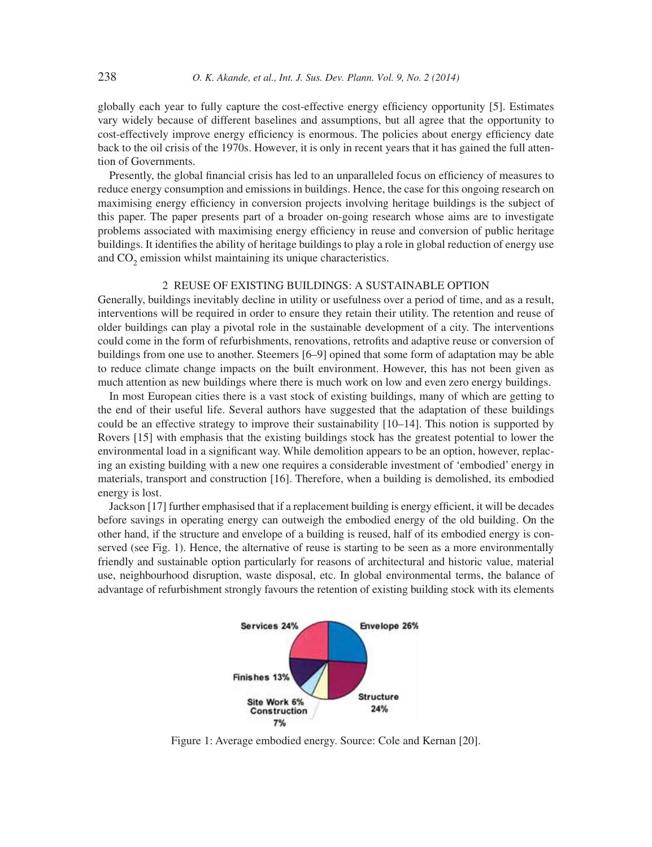globally each year to fully capture the cost-effective energy efficiency opportunity [5]. Estimates vary widely because of different baselines and assumptions, but all agree that the opportunity to cost-effectively improve energy efficiency is enormous. The policies about energy efficiency date back to the oil crisis of the 1970s. However, it is only in recent years that it has gained the full attention of Governments.

Presently, the global financial crisis has led to an unparalleled focus on efficiency of measures to reduce energy consumption and emissions in buildings. Hence, the case for this ongoing research on maximising energy efficiency in conversion projects involving heritage buildings is the subject of this paper. The paper presents part of a broader on-going research whose aims are to investigate problems associated with maximising energy efficiency in reuse and conversion of public heritage buildings. It identifies the ability of heritage buildings to play a role in global reduction of energy use and CO<sub>2</sub> emission whilst maintaining its unique characteristics.

#### 2 REUSE OF EXISTING BUILDINGS: A SUSTAINABLE OPTION

Generally, buildings inevitably decline in utility or usefulness over a period of time, and as a result, interventions will be required in order to ensure they retain their utility. The retention and reuse of older buildings can play a pivotal role in the sustainable development of a city. The interventions could come in the form of refurbishments, renovations, retrofits and adaptive reuse or conversion of buildings from one use to another. Steemers [6–9] opined that some form of adaptation may be able to reduce climate change impacts on the built environment. However, this has not been given as much attention as new buildings where there is much work on low and even zero energy buildings.

In most European cities there is a vast stock of existing buildings, many of which are getting to the end of their useful life. Several authors have suggested that the adaptation of these buildings could be an effective strategy to improve their sustainability [10–14]. This notion is supported by Rovers [15] with emphasis that the existing buildings stock has the greatest potential to lower the environmental load in a significant way. While demolition appears to be an option, however, replacing an existing building with a new one requires a considerable investment of 'embodied' energy in materials, transport and construction [16]. Therefore, when a building is demolished, its embodied energy is lost.

Jackson [17] further emphasised that if a replacement building is energy efficient, it will be decades before savings in operating energy can outweigh the embodied energy of the old building. On the other hand, if the structure and envelope of a building is reused, half of its embodied energy is conserved (see Fig. 1). Hence, the alternative of reuse is starting to be seen as a more environmentally friendly and sustainable option particularly for reasons of architectural and historic value, material use, neighbourhood disruption, waste disposal, etc. In global environmental terms, the balance of advantage of refurbishment strongly favours the retention of existing building stock with its elements



Figure 1: Average embodied energy. Source: Cole and Kernan [20].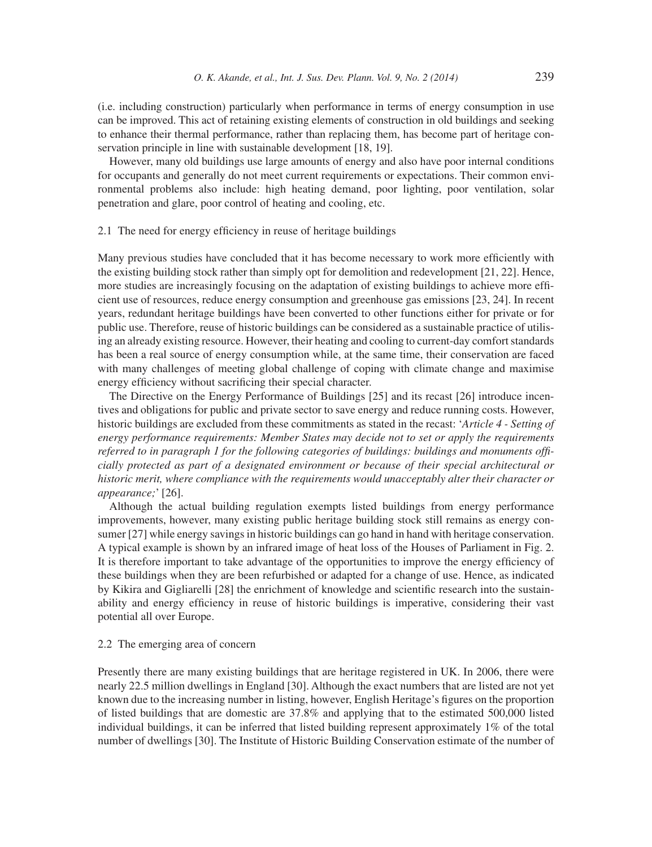(i.e. including construction) particularly when performance in terms of energy consumption in use can be improved. This act of retaining existing elements of construction in old buildings and seeking to enhance their thermal performance, rather than replacing them, has become part of heritage conservation principle in line with sustainable development [18, 19].

However, many old buildings use large amounts of energy and also have poor internal conditions for occupants and generally do not meet current requirements or expectations. Their common environmental problems also include: high heating demand, poor lighting, poor ventilation, solar penetration and glare, poor control of heating and cooling, etc.

## 2.1 The need for energy efficiency in reuse of heritage buildings

Many previous studies have concluded that it has become necessary to work more efficiently with the existing building stock rather than simply opt for demolition and redevelopment [21, 22]. Hence, more studies are increasingly focusing on the adaptation of existing buildings to achieve more efficient use of resources, reduce energy consumption and greenhouse gas emissions [23, 24]. In recent years, redundant heritage buildings have been converted to other functions either for private or for public use. Therefore, reuse of historic buildings can be considered as a sustainable practice of utilising an already existing resource. However, their heating and cooling to current-day comfort standards has been a real source of energy consumption while, at the same time, their conservation are faced with many challenges of meeting global challenge of coping with climate change and maximise energy efficiency without sacrificing their special character.

The Directive on the Energy Performance of Buildings [25] and its recast [26] introduce incentives and obligations for public and private sector to save energy and reduce running costs. However, historic buildings are excluded from these commitments as stated in the recast: '*Article 4 - Setting of energy performance requirements: Member States may decide not to set or apply the requirements referred to in paragraph 1 for the following categories of buildings: buildings and monuments offi cially protected as part of a designated environment or because of their special architectural or historic merit, where compliance with the requirements would unacceptably alter their character or appearance;*' [26].

Although the actual building regulation exempts listed buildings from energy performance improvements, however, many existing public heritage building stock still remains as energy consumer [27] while energy savings in historic buildings can go hand in hand with heritage conservation. A typical example is shown by an infrared image of heat loss of the Houses of Parliament in Fig. 2. It is therefore important to take advantage of the opportunities to improve the energy efficiency of these buildings when they are been refurbished or adapted for a change of use. Hence, as indicated by Kikira and Gigliarelli [28] the enrichment of knowledge and scientific research into the sustainability and energy efficiency in reuse of historic buildings is imperative, considering their vast potential all over Europe.

## 2.2 The emerging area of concern

Presently there are many existing buildings that are heritage registered in UK. In 2006, there were nearly 22.5 million dwellings in England [30]. Although the exact numbers that are listed are not yet known due to the increasing number in listing, however, English Heritage's figures on the proportion of listed buildings that are domestic are 37.8% and applying that to the estimated 500,000 listed individual buildings, it can be inferred that listed building represent approximately 1% of the total number of dwellings [30]. The Institute of Historic Building Conservation estimate of the number of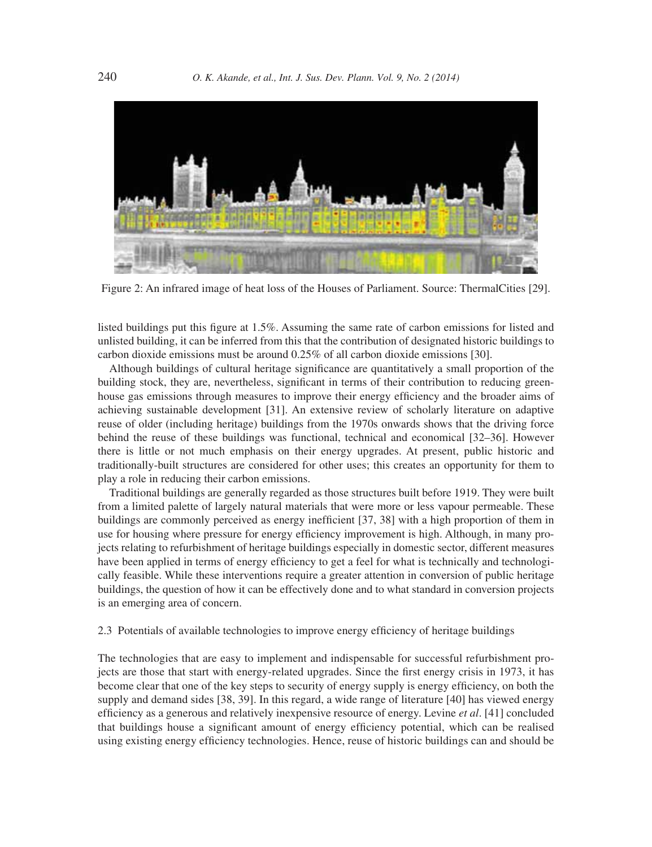

Figure 2: An infrared image of heat loss of the Houses of Parliament. Source: ThermalCities [29].

listed buildings put this figure at 1.5%. Assuming the same rate of carbon emissions for listed and unlisted building, it can be inferred from this that the contribution of designated historic buildings to carbon dioxide emissions must be around 0.25% of all carbon dioxide emissions [30].

Although buildings of cultural heritage significance are quantitatively a small proportion of the building stock, they are, nevertheless, significant in terms of their contribution to reducing greenhouse gas emissions through measures to improve their energy efficiency and the broader aims of achieving sustainable development [31]. An extensive review of scholarly literature on adaptive reuse of older (including heritage) buildings from the 1970s onwards shows that the driving force behind the reuse of these buildings was functional, technical and economical [32–36]. However there is little or not much emphasis on their energy upgrades. At present, public historic and traditionally-built structures are considered for other uses; this creates an opportunity for them to play a role in reducing their carbon emissions.

Traditional buildings are generally regarded as those structures built before 1919. They were built from a limited palette of largely natural materials that were more or less vapour permeable. These buildings are commonly perceived as energy inefficient [37, 38] with a high proportion of them in use for housing where pressure for energy efficiency improvement is high. Although, in many projects relating to refurbishment of heritage buildings especially in domestic sector, different measures have been applied in terms of energy efficiency to get a feel for what is technically and technologically feasible. While these interventions require a greater attention in conversion of public heritage buildings, the question of how it can be effectively done and to what standard in conversion projects is an emerging area of concern.

# 2.3 Potentials of available technologies to improve energy efficiency of heritage buildings

The technologies that are easy to implement and indispensable for successful refurbishment projects are those that start with energy-related upgrades. Since the first energy crisis in 1973, it has become clear that one of the key steps to security of energy supply is energy efficiency, on both the supply and demand sides [38, 39]. In this regard, a wide range of literature [40] has viewed energy efficiency as a generous and relatively inexpensive resource of energy. Levine *et al.* [41] concluded that buildings house a significant amount of energy efficiency potential, which can be realised using existing energy efficiency technologies. Hence, reuse of historic buildings can and should be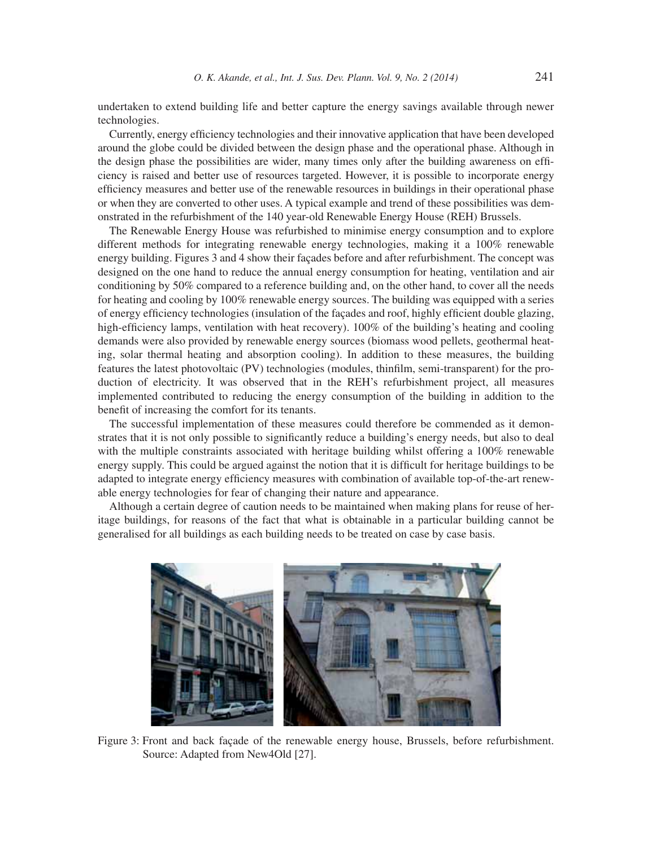undertaken to extend building life and better capture the energy savings available through newer technologies.

Currently, energy efficiency technologies and their innovative application that have been developed around the globe could be divided between the design phase and the operational phase. Although in the design phase the possibilities are wider, many times only after the building awareness on efficiency is raised and better use of resources targeted. However, it is possible to incorporate energy efficiency measures and better use of the renewable resources in buildings in their operational phase or when they are converted to other uses. A typical example and trend of these possibilities was demonstrated in the refurbishment of the 140 year-old Renewable Energy House (REH) Brussels.

The Renewable Energy House was refurbished to minimise energy consumption and to explore different methods for integrating renewable energy technologies, making it a 100% renewable energy building. Figures 3 and 4 show their façades before and after refurbishment. The concept was designed on the one hand to reduce the annual energy consumption for heating, ventilation and air conditioning by 50% compared to a reference building and, on the other hand, to cover all the needs for heating and cooling by 100% renewable energy sources. The building was equipped with a series of energy efficiency technologies (insulation of the facades and roof, highly efficient double glazing, high-efficiency lamps, ventilation with heat recovery). 100% of the building's heating and cooling demands were also provided by renewable energy sources (biomass wood pellets, geothermal heating, solar thermal heating and absorption cooling). In addition to these measures, the building features the latest photovoltaic (PV) technologies (modules, thinfilm, semi-transparent) for the production of electricity. It was observed that in the REH's refurbishment project, all measures implemented contributed to reducing the energy consumption of the building in addition to the benefit of increasing the comfort for its tenants.

The successful implementation of these measures could therefore be commended as it demonstrates that it is not only possible to significantly reduce a building's energy needs, but also to deal with the multiple constraints associated with heritage building whilst offering a 100% renewable energy supply. This could be argued against the notion that it is difficult for heritage buildings to be adapted to integrate energy efficiency measures with combination of available top-of-the-art renewable energy technologies for fear of changing their nature and appearance.

Although a certain degree of caution needs to be maintained when making plans for reuse of heritage buildings, for reasons of the fact that what is obtainable in a particular building cannot be generalised for all buildings as each building needs to be treated on case by case basis.



Figure 3: Front and back façade of the renewable energy house, Brussels, before refurbishment. Source: Adapted from New4Old [27].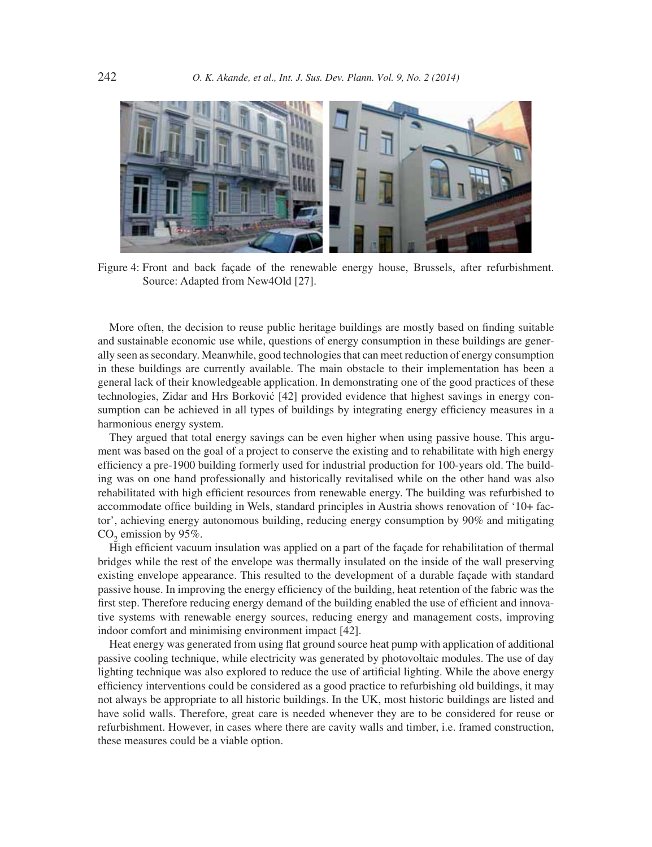

Figure 4: Front and back façade of the renewable energy house, Brussels, after refurbishment. Source: Adapted from New4Old [27].

More often, the decision to reuse public heritage buildings are mostly based on finding suitable and sustainable economic use while, questions of energy consumption in these buildings are generally seen as secondary. Meanwhile, good technologies that can meet reduction of energy consumption in these buildings are currently available. The main obstacle to their implementation has been a general lack of their knowledgeable application. In demonstrating one of the good practices of these technologies, Zidar and Hrs Borković [42] provided evidence that highest savings in energy consumption can be achieved in all types of buildings by integrating energy efficiency measures in a harmonious energy system.

They argued that total energy savings can be even higher when using passive house. This argument was based on the goal of a project to conserve the existing and to rehabilitate with high energy efficiency a pre-1900 building formerly used for industrial production for 100-years old. The building was on one hand professionally and historically revitalised while on the other hand was also rehabilitated with high efficient resources from renewable energy. The building was refurbished to accommodate office building in Wels, standard principles in Austria shows renovation of '10+ factor', achieving energy autonomous building, reducing energy consumption by 90% and mitigating  $CO<sub>2</sub>$  emission by 95%.

High efficient vacuum insulation was applied on a part of the façade for rehabilitation of thermal bridges while the rest of the envelope was thermally insulated on the inside of the wall preserving existing envelope appearance. This resulted to the development of a durable façade with standard passive house. In improving the energy efficiency of the building, heat retention of the fabric was the first step. Therefore reducing energy demand of the building enabled the use of efficient and innovative systems with renewable energy sources, reducing energy and management costs, improving indoor comfort and minimising environment impact [42].

Heat energy was generated from using flat ground source heat pump with application of additional passive cooling technique, while electricity was generated by photovoltaic modules. The use of day lighting technique was also explored to reduce the use of artificial lighting. While the above energy efficiency interventions could be considered as a good practice to refurbishing old buildings, it may not always be appropriate to all historic buildings. In the UK, most historic buildings are listed and have solid walls. Therefore, great care is needed whenever they are to be considered for reuse or refurbishment. However, in cases where there are cavity walls and timber, i.e. framed construction, these measures could be a viable option.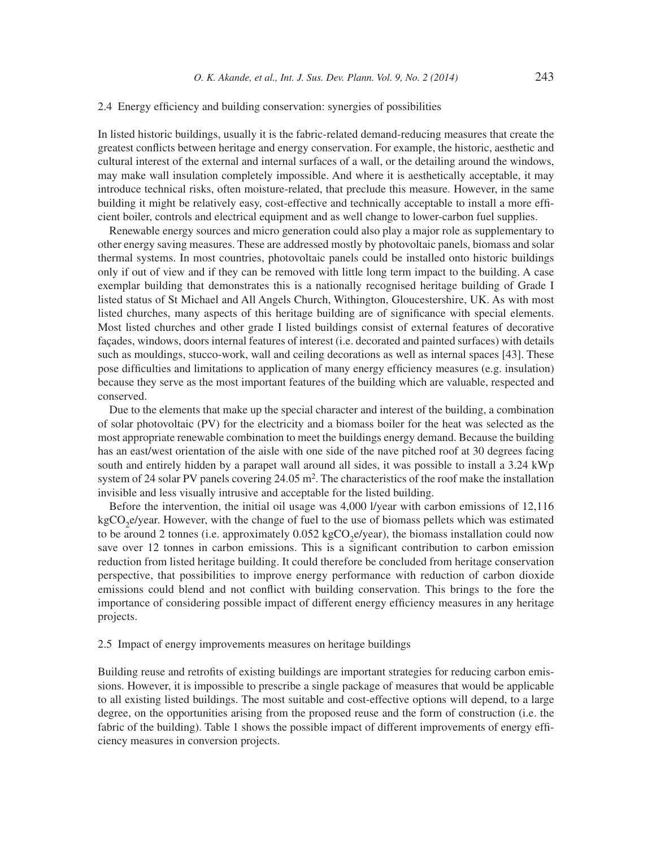#### 2.4 Energy efficiency and building conservation: synergies of possibilities

In listed historic buildings, usually it is the fabric-related demand-reducing measures that create the greatest conflicts between heritage and energy conservation. For example, the historic, aesthetic and cultural interest of the external and internal surfaces of a wall, or the detailing around the windows, may make wall insulation completely impossible. And where it is aesthetically acceptable, it may introduce technical risks, often moisture-related, that preclude this measure. However, in the same building it might be relatively easy, cost-effective and technically acceptable to install a more efficient boiler, controls and electrical equipment and as well change to lower-carbon fuel supplies.

Renewable energy sources and micro generation could also play a major role as supplementary to other energy saving measures. These are addressed mostly by photovoltaic panels, biomass and solar thermal systems. In most countries, photovoltaic panels could be installed onto historic buildings only if out of view and if they can be removed with little long term impact to the building. A case exemplar building that demonstrates this is a nationally recognised heritage building of Grade I listed status of St Michael and All Angels Church, Withington, Gloucestershire, UK. As with most listed churches, many aspects of this heritage building are of significance with special elements. Most listed churches and other grade I listed buildings consist of external features of decorative façades, windows, doors internal features of interest (i.e. decorated and painted surfaces) with details such as mouldings, stucco-work, wall and ceiling decorations as well as internal spaces [43]. These pose difficulties and limitations to application of many energy efficiency measures (e.g. insulation) because they serve as the most important features of the building which are valuable, respected and conserved.

Due to the elements that make up the special character and interest of the building, a combination of solar photovoltaic (PV) for the electricity and a biomass boiler for the heat was selected as the most appropriate renewable combination to meet the buildings energy demand. Because the building has an east/west orientation of the aisle with one side of the nave pitched roof at 30 degrees facing south and entirely hidden by a parapet wall around all sides, it was possible to install a 3.24 kWp system of 24 solar PV panels covering  $24.05 \text{ m}^2$ . The characteristics of the roof make the installation invisible and less visually intrusive and acceptable for the listed building.

Before the intervention, the initial oil usage was 4,000 l/year with carbon emissions of 12,116 kgCO<sub>2</sub>e/year. However, with the change of fuel to the use of biomass pellets which was estimated to be around 2 tonnes (i.e. approximately  $0.052 \text{ kgCO}_2$ e/year), the biomass installation could now save over 12 tonnes in carbon emissions. This is a significant contribution to carbon emission reduction from listed heritage building. It could therefore be concluded from heritage conservation perspective, that possibilities to improve energy performance with reduction of carbon dioxide emissions could blend and not conflict with building conservation. This brings to the fore the importance of considering possible impact of different energy efficiency measures in any heritage projects.

#### 2.5 Impact of energy improvements measures on heritage buildings

Building reuse and retrofits of existing buildings are important strategies for reducing carbon emissions. However, it is impossible to prescribe a single package of measures that would be applicable to all existing listed buildings. The most suitable and cost-effective options will depend, to a large degree, on the opportunities arising from the proposed reuse and the form of construction (i.e. the fabric of the building). Table 1 shows the possible impact of different improvements of energy efficiency measures in conversion projects.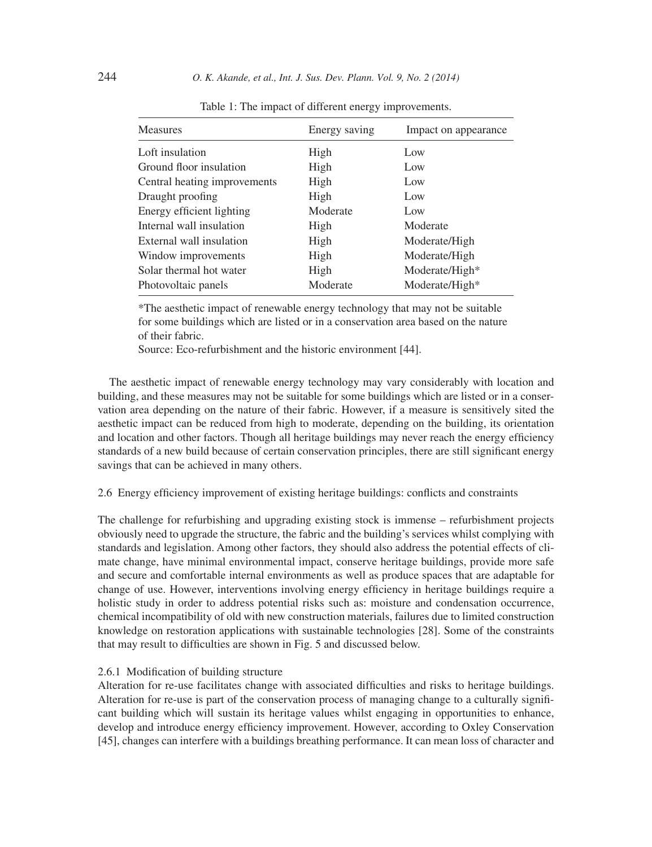| <b>Measures</b>              | Energy saving | Impact on appearance       |
|------------------------------|---------------|----------------------------|
| Loft insulation              | High          | Low                        |
| Ground floor insulation      | High          | Low                        |
| Central heating improvements | High          | Low                        |
| Draught proofing             | High          | Low                        |
| Energy efficient lighting    | Moderate      | Low                        |
| Internal wall insulation     | High          | Moderate                   |
| External wall insulation     | High          | Moderate/High              |
| Window improvements          | High          | Moderate/High              |
| Solar thermal hot water      | High          | Moderate/High <sup>*</sup> |
| Photovoltaic panels          | Moderate      | Moderate/High*             |

Table 1: The impact of different energy improvements.

\*The aesthetic impact of renewable energy technology that may not be suitable for some buildings which are listed or in a conservation area based on the nature of their fabric.

Source: Eco-refurbishment and the historic environment [44].

The aesthetic impact of renewable energy technology may vary considerably with location and building, and these measures may not be suitable for some buildings which are listed or in a conservation area depending on the nature of their fabric. However, if a measure is sensitively sited the aesthetic impact can be reduced from high to moderate, depending on the building, its orientation and location and other factors. Though all heritage buildings may never reach the energy efficiency standards of a new build because of certain conservation principles, there are still significant energy savings that can be achieved in many others.

## 2.6 Energy efficiency improvement of existing heritage buildings: conflicts and constraints

The challenge for refurbishing and upgrading existing stock is immense – refurbishment projects obviously need to upgrade the structure, the fabric and the building's services whilst complying with standards and legislation. Among other factors, they should also address the potential effects of climate change, have minimal environmental impact, conserve heritage buildings, provide more safe and secure and comfortable internal environments as well as produce spaces that are adaptable for change of use. However, interventions involving energy efficiency in heritage buildings require a holistic study in order to address potential risks such as: moisture and condensation occurrence, chemical incompatibility of old with new construction materials, failures due to limited construction knowledge on restoration applications with sustainable technologies [28]. Some of the constraints that may result to difficulties are shown in Fig. 5 and discussed below.

## 2.6.1 Modification of building structure

Alteration for re-use facilitates change with associated difficulties and risks to heritage buildings. Alteration for re-use is part of the conservation process of managing change to a culturally significant building which will sustain its heritage values whilst engaging in opportunities to enhance, develop and introduce energy efficiency improvement. However, according to Oxley Conservation [45], changes can interfere with a buildings breathing performance. It can mean loss of character and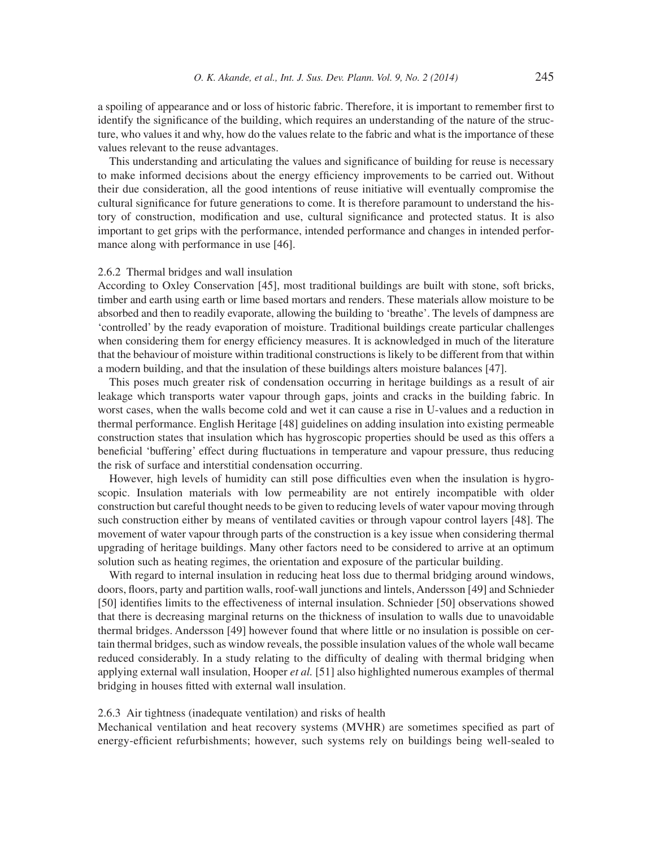a spoiling of appearance and or loss of historic fabric. Therefore, it is important to remember first to identify the significance of the building, which requires an understanding of the nature of the structure, who values it and why, how do the values relate to the fabric and what is the importance of these values relevant to the reuse advantages.

This understanding and articulating the values and significance of building for reuse is necessary to make informed decisions about the energy efficiency improvements to be carried out. Without their due consideration, all the good intentions of reuse initiative will eventually compromise the cultural significance for future generations to come. It is therefore paramount to understand the history of construction, modification and use, cultural significance and protected status. It is also important to get grips with the performance, intended performance and changes in intended performance along with performance in use [46].

#### 2.6.2 Thermal bridges and wall insulation

According to Oxley Conservation [45], most traditional buildings are built with stone, soft bricks, timber and earth using earth or lime based mortars and renders. These materials allow moisture to be absorbed and then to readily evaporate, allowing the building to 'breathe'. The levels of dampness are 'controlled' by the ready evaporation of moisture. Traditional buildings create particular challenges when considering them for energy efficiency measures. It is acknowledged in much of the literature that the behaviour of moisture within traditional constructions is likely to be different from that within a modern building, and that the insulation of these buildings alters moisture balances [47].

This poses much greater risk of condensation occurring in heritage buildings as a result of air leakage which transports water vapour through gaps, joints and cracks in the building fabric. In worst cases, when the walls become cold and wet it can cause a rise in U-values and a reduction in thermal performance. English Heritage [48] guidelines on adding insulation into existing permeable construction states that insulation which has hygroscopic properties should be used as this offers a beneficial 'buffering' effect during fluctuations in temperature and vapour pressure, thus reducing the risk of surface and interstitial condensation occurring.

However, high levels of humidity can still pose difficulties even when the insulation is hygroscopic. Insulation materials with low permeability are not entirely incompatible with older construction but careful thought needs to be given to reducing levels of water vapour moving through such construction either by means of ventilated cavities or through vapour control layers [48]. The movement of water vapour through parts of the construction is a key issue when considering thermal upgrading of heritage buildings. Many other factors need to be considered to arrive at an optimum solution such as heating regimes, the orientation and exposure of the particular building.

With regard to internal insulation in reducing heat loss due to thermal bridging around windows, doors, floors, party and partition walls, roof-wall junctions and lintels, Andersson [49] and Schnieder [50] identifies limits to the effectiveness of internal insulation. Schnieder [50] observations showed that there is decreasing marginal returns on the thickness of insulation to walls due to unavoidable thermal bridges. Andersson [49] however found that where little or no insulation is possible on certain thermal bridges, such as window reveals, the possible insulation values of the whole wall became reduced considerably. In a study relating to the difficulty of dealing with thermal bridging when applying external wall insulation, Hooper *et al.* [51] also highlighted numerous examples of thermal bridging in houses fitted with external wall insulation.

#### 2.6.3 Air tightness (inadequate ventilation) and risks of health

Mechanical ventilation and heat recovery systems (MVHR) are sometimes specified as part of energy-efficient refurbishments; however, such systems rely on buildings being well-sealed to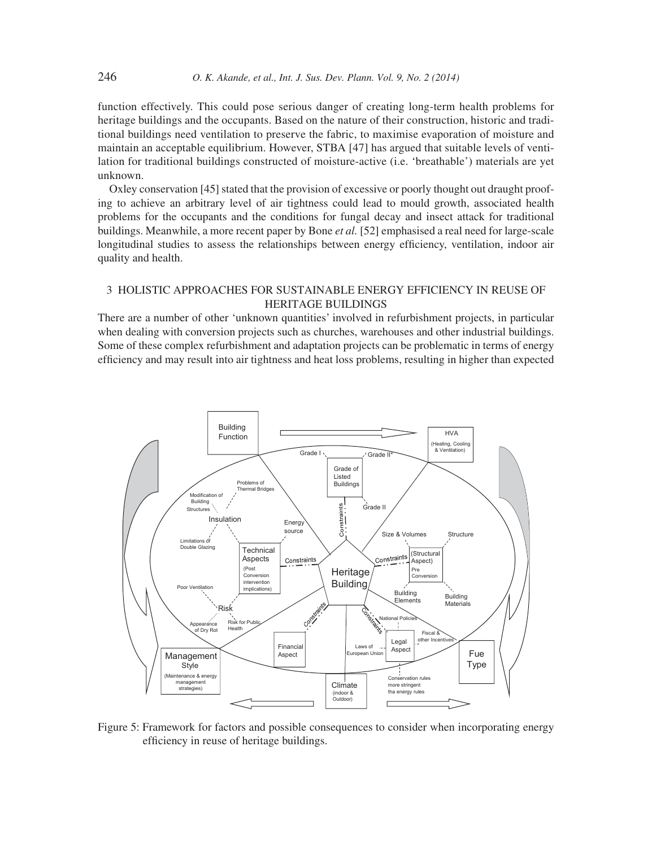function effectively. This could pose serious danger of creating long-term health problems for heritage buildings and the occupants. Based on the nature of their construction, historic and traditional buildings need ventilation to preserve the fabric, to maximise evaporation of moisture and maintain an acceptable equilibrium. However, STBA [47] has argued that suitable levels of ventilation for traditional buildings constructed of moisture-active (i.e. 'breathable') materials are yet unknown.

Oxley conservation [45] stated that the provision of excessive or poorly thought out draught proofing to achieve an arbitrary level of air tightness could lead to mould growth, associated health problems for the occupants and the conditions for fungal decay and insect attack for traditional buildings. Meanwhile, a more recent paper by Bone *et al.* [52] emphasised a real need for large-scale longitudinal studies to assess the relationships between energy efficiency, ventilation, indoor air quality and health.

# 3 HOLISTIC APPROACHES FOR SUSTAINABLE ENERGY EFFICIENCY IN REUSE OF HERITAGE BUILDINGS

There are a number of other 'unknown quantities' involved in refurbishment projects, in particular when dealing with conversion projects such as churches, warehouses and other industrial buildings. Some of these complex refurbishment and adaptation projects can be problematic in terms of energy efficiency and may result into air tightness and heat loss problems, resulting in higher than expected



Figure 5: Framework for factors and possible consequences to consider when incorporating energy efficiency in reuse of heritage buildings.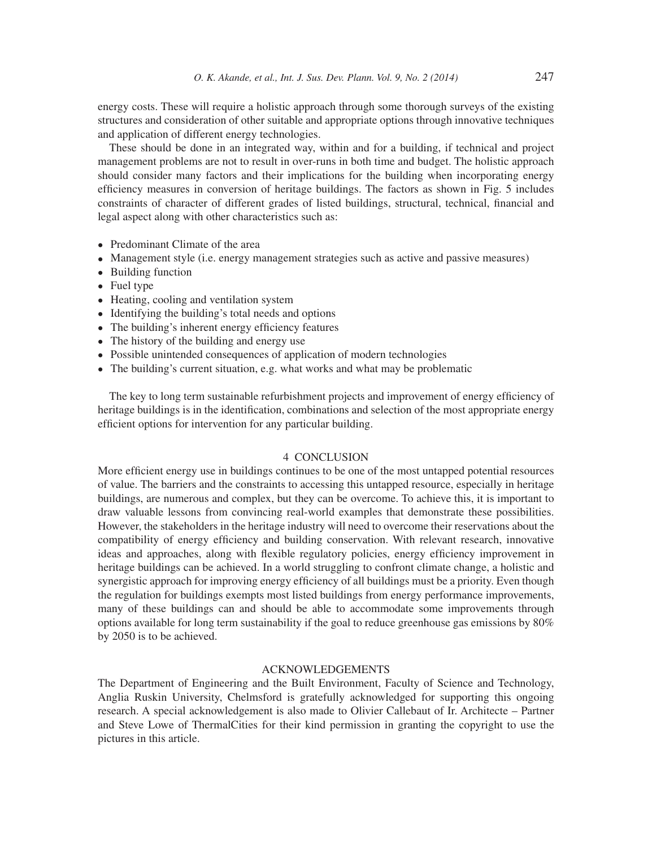energy costs. These will require a holistic approach through some thorough surveys of the existing structures and consideration of other suitable and appropriate options through innovative techniques and application of different energy technologies.

These should be done in an integrated way, within and for a building, if technical and project management problems are not to result in over-runs in both time and budget. The holistic approach should consider many factors and their implications for the building when incorporating energy efficiency measures in conversion of heritage buildings. The factors as shown in Fig. 5 includes constraints of character of different grades of listed buildings, structural, technical, financial and legal aspect along with other characteristics such as:

- Predominant Climate of the area
- Management style (i.e. energy management strategies such as active and passive measures)
- Building function
- Fuel type
- Heating, cooling and ventilation system
- Identifying the building's total needs and options
- The building's inherent energy efficiency features
- The history of the building and energy use
- Possible unintended consequences of application of modern technologies
- The building's current situation, e.g. what works and what may be problematic

The key to long term sustainable refurbishment projects and improvement of energy efficiency of heritage buildings is in the identification, combinations and selection of the most appropriate energy efficient options for intervention for any particular building.

## 4 CONCLUSION

More efficient energy use in buildings continues to be one of the most untapped potential resources of value. The barriers and the constraints to accessing this untapped resource, especially in heritage buildings, are numerous and complex, but they can be overcome. To achieve this, it is important to draw valuable lessons from convincing real-world examples that demonstrate these possibilities. However, the stakeholders in the heritage industry will need to overcome their reservations about the compatibility of energy efficiency and building conservation. With relevant research, innovative ideas and approaches, along with flexible regulatory policies, energy efficiency improvement in heritage buildings can be achieved. In a world struggling to confront climate change, a holistic and synergistic approach for improving energy efficiency of all buildings must be a priority. Even though the regulation for buildings exempts most listed buildings from energy performance improvements, many of these buildings can and should be able to accommodate some improvements through options available for long term sustainability if the goal to reduce greenhouse gas emissions by 80% by 2050 is to be achieved.

## ACKNOWLEDGEMENTS

The Department of Engineering and the Built Environment, Faculty of Science and Technology, Anglia Ruskin University, Chelmsford is gratefully acknowledged for supporting this ongoing research. A special acknowledgement is also made to Olivier Callebaut of Ir. Architecte – Partner and Steve Lowe of ThermalCities for their kind permission in granting the copyright to use the pictures in this article.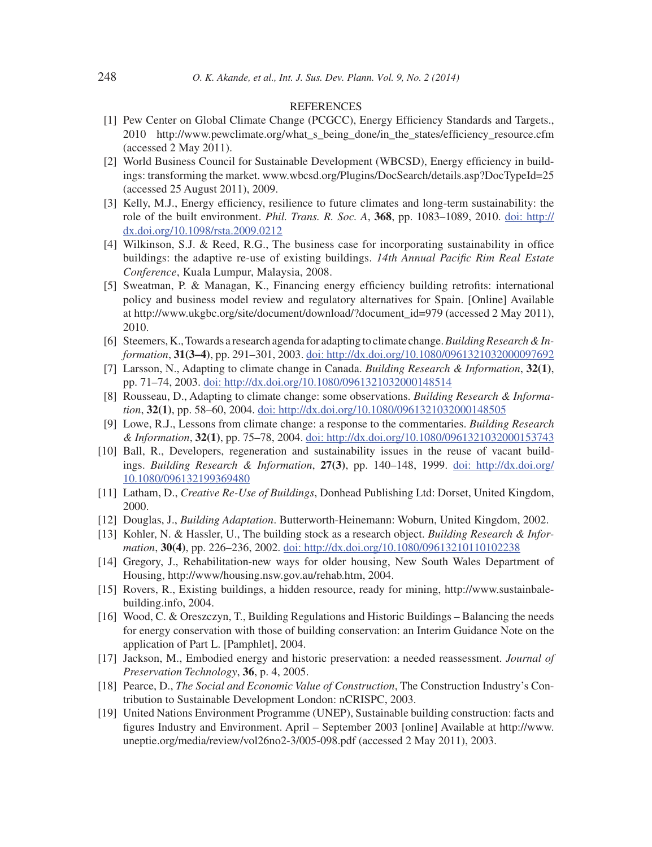#### REFERENCES

- [1] Pew Center on Global Climate Change (PCGCC), Energy Efficiency Standards and Targets., 2010 http://www.pewclimate.org/what\_s\_being\_done/in\_the\_states/efficiency\_resource.cfm (accessed 2 May 2011).
- [2] World Business Council for Sustainable Development (WBCSD), Energy efficiency in buildings: transforming the market. www.wbcsd.org/Plugins/DocSearch/details.asp?DocTypeId=25 (accessed 25 August 2011), 2009.
- [3] Kelly, M.J., Energy efficiency, resilience to future climates and long-term sustainability: the role of the built environment. *Phil. Trans. R. Soc. A*, **368**, pp. 1083–1089, 2010. doi: http:// dx.doi.org/10.1098/rsta.2009.0212
- $[4]$  Wilkinson, S.J. & Reed, R.G., The business case for incorporating sustainability in office buildings: the adaptive re-use of existing buildings. *14th Annual Pacific Rim Real Estate Conference*, Kuala Lumpur, Malaysia, 2008.
- [5] Sweatman, P. & Managan, K., Financing energy efficiency building retrofits: international policy and business model review and regulatory alternatives for Spain. [Online] Available at http://www.ukgbc.org/site/document/download/?document\_id=979 (accessed 2 May 2011), 2010.
- [6] Steemers, K., Towards a research agenda for adapting to climate change. *Building Research & Information*, **31(3–4)**, pp. 291–301, 2003. doi: http://dx.doi.org/10.1080/0961321032000097692
- [7] Larsson, N., Adapting to climate change in Canada. *Building Research & Information*, **32(1)**, pp. 71–74, 2003. doi: http://dx.doi.org/10.1080/0961321032000148514
- [8] Rousseau, D., Adapting to climate change: some observations. *Building Research & Information*, **32(1)**, pp. 58–60, 2004. doi: http://dx.doi.org/10.1080/0961321032000148505
- [9] Lowe, R.J., Lessons from climate change: a response to the commentaries. *Building Research & Information*, **32(1)**, pp. 75–78, 2004. doi: http://dx.doi.org/10.1080/0961321032000153743
- [10] Ball, R., Developers, regeneration and sustainability issues in the reuse of vacant buildings. *Building Research & Information*, **27(3)**, pp. 140–148, 1999. doi: http://dx.doi.org/ 10.1080/096132199369480
- [11] Latham, D., *Creative Re-Use of Buildings*, Donhead Publishing Ltd: Dorset, United Kingdom, 2000.
- [12] Douglas, J., *Building Adaptation*. Butterworth-Heinemann: Woburn, United Kingdom, 2002.
- [13] Kohler, N. & Hassler, U., The building stock as a research object. *Building Research & Information*, **30(4)**, pp. 226–236, 2002. doi: http://dx.doi.org/10.1080/09613210110102238
- [14] Gregory, J., Rehabilitation-new ways for older housing, New South Wales Department of Housing, http://www/housing.nsw.gov.au/rehab.htm, 2004.
- [15] Rovers, R., Existing buildings, a hidden resource, ready for mining, http://www.sustainbalebuilding.info, 2004.
- [16] Wood, C. & Oreszczyn, T., Building Regulations and Historic Buildings Balancing the needs for energy conservation with those of building conservation: an Interim Guidance Note on the application of Part L. [Pamphlet], 2004.
- [17] Jackson, M., Embodied energy and historic preservation: a needed reassessment. *Journal of Preservation Technology*, **36**, p. 4, 2005.
- [18] Pearce, D., *The Social and Economic Value of Construction*, The Construction Industry's Contribution to Sustainable Development London: nCRISPC, 2003.
- [19] United Nations Environment Programme (UNEP), Sustainable building construction: facts and figures Industry and Environment. April – September 2003 [online] Available at http://www. uneptie.org/media/review/vol26no2-3/005-098.pdf (accessed 2 May 2011), 2003.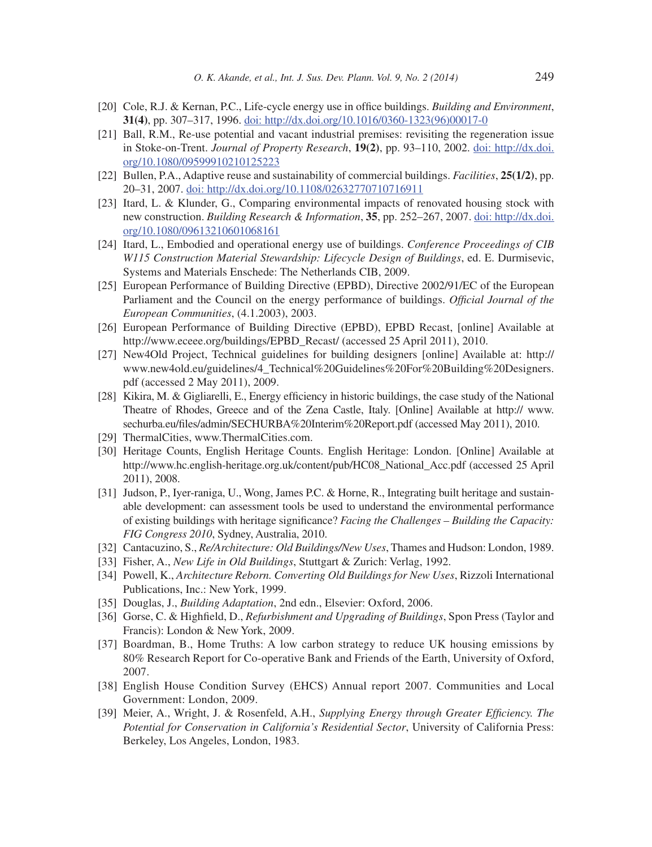- [20] Cole, R.J. & Kernan, P.C., Life-cycle energy use in office buildings. *Building and Environment*, **31(4)**, pp. 307–317, 1996. doi: http://dx.doi.org/10.1016/0360-1323(96)00017-0
- [21] Ball, R.M., Re-use potential and vacant industrial premises: revisiting the regeneration issue in Stoke-on-Trent. *Journal of Property Research*, **19(2)**, pp. 93–110, 2002. doi: http://dx.doi. org/10.1080/09599910210125223
- [22] Bullen, P.A., Adaptive reuse and sustainability of commercial buildings. *Facilities*, **25(1/2)**, pp. 20–31, 2007. doi: http://dx.doi.org/10.1108/02632770710716911
- [23] Itard, L. & Klunder, G., Comparing environmental impacts of renovated housing stock with new construction. *Building Research & Information*, **35**, pp. 252–267, 2007. doi: http://dx.doi. org/10.1080/09613210601068161
- [24] Itard, L., Embodied and operational energy use of buildings. *Conference Proceedings of CIB W115 Construction Material Stewardship: Lifecycle Design of Buildings*, ed. E. Durmisevic, Systems and Materials Enschede: The Netherlands CIB, 2009.
- [25] European Performance of Building Directive (EPBD), Directive 2002/91/EC of the European Parliament and the Council on the energy performance of buildings. *Official Journal of the European Communities*, (4.1.2003), 2003.
- [26] European Performance of Building Directive (EPBD), EPBD Recast, [online] Available at http://www.eceee.org/buildings/EPBD\_Recast/ (accessed 25 April 2011), 2010.
- [27] New4Old Project, Technical guidelines for building designers [online] Available at: http:// www.new4old.eu/guidelines/4\_Technical%20Guidelines%20For%20Building%20Designers. pdf (accessed 2 May 2011), 2009.
- [28] Kikira, M. & Gigliarelli, E., Energy efficiency in historic buildings, the case study of the National Theatre of Rhodes, Greece and of the Zena Castle, Italy. [Online] Available at http:// www. sechurba.eu/files/admin/SECHURBA%20Interim%20Report.pdf (accessed May 2011), 2010.
- [29] ThermalCities, www.ThermalCities.com.
- [30] Heritage Counts, English Heritage Counts. English Heritage: London. [Online] Available at http://www.hc.english-heritage.org.uk/content/pub/HC08\_National\_Acc.pdf (accessed 25 April 2011), 2008.
- [31] Judson, P., Iyer-raniga, U., Wong, James P.C. & Horne, R., Integrating built heritage and sustainable development: can assessment tools be used to understand the environmental performance of existing buildings with heritage significance? *Facing the Challenges – Building the Capacity: FIG Congress 2010*, Sydney, Australia, 2010.
- [32] Cantacuzino, S., *Re/Architecture: Old Buildings/New Uses*, Thames and Hudson: London, 1989.
- [33] Fisher, A., *New Life in Old Buildings*, Stuttgart & Zurich: Verlag, 1992.
- [34] Powell, K., *Architecture Reborn. Converting Old Buildings for New Uses*, Rizzoli International Publications, Inc.: New York, 1999.
- [35] Douglas, J., *Building Adaptation*, 2nd edn., Elsevier: Oxford, 2006.
- [36] Gorse, C. & Highfield, D., *Refurbishment and Upgrading of Buildings*, Spon Press (Taylor and Francis): London & New York, 2009.
- [37] Boardman, B., Home Truths: A low carbon strategy to reduce UK housing emissions by 80% Research Report for Co-operative Bank and Friends of the Earth, University of Oxford, 2007.
- [38] English House Condition Survey (EHCS) Annual report 2007. Communities and Local Government: London, 2009.
- [39] Meier, A., Wright, J. & Rosenfeld, A.H., *Supplying Energy through Greater Efficiency. The Potential for Conservation in California's Residential Sector*, University of California Press: Berkeley, Los Angeles, London, 1983.